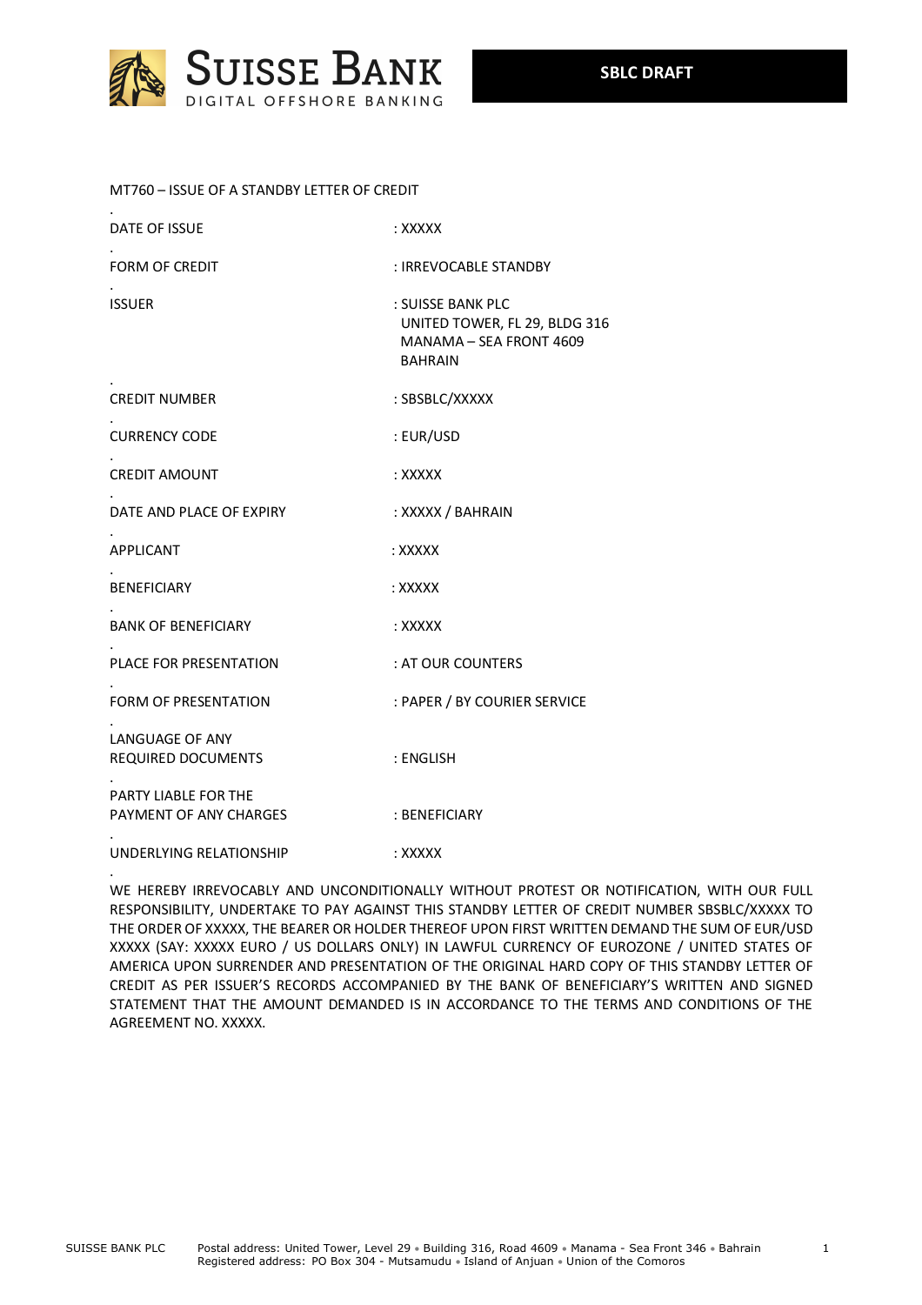

## MT760 – ISSUE OF A STANDBY LETTER OF CREDIT

.

| DATE OF ISSUE                                  | : XXXXX                                                                                         |
|------------------------------------------------|-------------------------------------------------------------------------------------------------|
| <b>FORM OF CREDIT</b>                          | : IRREVOCABLE STANDBY                                                                           |
| <b>ISSUER</b>                                  | : SUISSE BANK PLC<br>UNITED TOWER, FL 29, BLDG 316<br>MANAMA - SEA FRONT 4609<br><b>BAHRAIN</b> |
| <b>CREDIT NUMBER</b>                           | : SBSBLC/XXXXX                                                                                  |
| <b>CURRENCY CODE</b>                           | : EUR/USD                                                                                       |
| <b>CREDIT AMOUNT</b>                           | : XXXXX                                                                                         |
| DATE AND PLACE OF EXPIRY                       | : XXXXX / BAHRAIN                                                                               |
| <b>APPLICANT</b>                               | : XXXXX                                                                                         |
| <b>BENEFICIARY</b>                             | : XXXXX                                                                                         |
| <b>BANK OF BENEFICIARY</b>                     | : XXXXX                                                                                         |
| PLACE FOR PRESENTATION                         | : AT OUR COUNTERS                                                                               |
| <b>FORM OF PRESENTATION</b>                    | : PAPER / BY COURIER SERVICE                                                                    |
| LANGUAGE OF ANY<br>REQUIRED DOCUMENTS          | : ENGLISH                                                                                       |
| PARTY LIABLE FOR THE<br>PAYMENT OF ANY CHARGES | : BENEFICIARY                                                                                   |
| UNDERLYING RELATIONSHIP                        | : XXXXX                                                                                         |

WE HEREBY IRREVOCABLY AND UNCONDITIONALLY WITHOUT PROTEST OR NOTIFICATION, WITH OUR FULL RESPONSIBILITY, UNDERTAKE TO PAY AGAINST THIS STANDBY LETTER OF CREDIT NUMBER SBSBLC/XXXXX TO THE ORDER OF XXXXX, THE BEARER OR HOLDER THEREOF UPON FIRST WRITTEN DEMAND THE SUM OF EUR/USD XXXXX (SAY: XXXXX EURO / US DOLLARS ONLY) IN LAWFUL CURRENCY OF EUROZONE / UNITED STATES OF AMERICA UPON SURRENDER AND PRESENTATION OF THE ORIGINAL HARD COPY OF THIS STANDBY LETTER OF CREDIT AS PER ISSUER'S RECORDS ACCOMPANIED BY THE BANK OF BENEFICIARY'S WRITTEN AND SIGNED STATEMENT THAT THE AMOUNT DEMANDED IS IN ACCORDANCE TO THE TERMS AND CONDITIONS OF THE AGREEMENT NO. XXXXX.